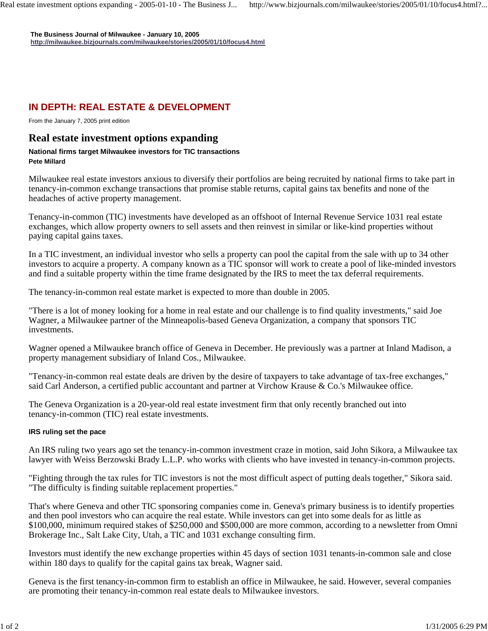**The Business Journal of Milwaukee - January 10, 2005 http://milwaukee.bizjournals.com/milwaukee/stories/2005/01/10/focus4.html**

## **IN DEPTH: REAL ESTATE & DEVELOPMENT**

From the January 7, 2005 print edition

## **Real estate investment options expanding**

## **National firms target Milwaukee investors for TIC transactions Pete Millard**

Milwaukee real estate investors anxious to diversify their portfolios are being recruited by national firms to take part in tenancy-in-common exchange transactions that promise stable returns, capital gains tax benefits and none of the headaches of active property management.

Tenancy-in-common (TIC) investments have developed as an offshoot of Internal Revenue Service 1031 real estate exchanges, which allow property owners to sell assets and then reinvest in similar or like-kind properties without paying capital gains taxes.

In a TIC investment, an individual investor who sells a property can pool the capital from the sale with up to 34 other investors to acquire a property. A company known as a TIC sponsor will work to create a pool of like-minded investors and find a suitable property within the time frame designated by the IRS to meet the tax deferral requirements.

The tenancy-in-common real estate market is expected to more than double in 2005.

"There is a lot of money looking for a home in real estate and our challenge is to find quality investments," said Joe Wagner, a Milwaukee partner of the Minneapolis-based Geneva Organization, a company that sponsors TIC investments.

Wagner opened a Milwaukee branch office of Geneva in December. He previously was a partner at Inland Madison, a property management subsidiary of Inland Cos., Milwaukee.

"Tenancy-in-common real estate deals are driven by the desire of taxpayers to take advantage of tax-free exchanges," said Carl Anderson, a certified public accountant and partner at Virchow Krause & Co.'s Milwaukee office.

The Geneva Organization is a 20-year-old real estate investment firm that only recently branched out into tenancy-in-common (TIC) real estate investments.

## **IRS ruling set the pace**

An IRS ruling two years ago set the tenancy-in-common investment craze in motion, said John Sikora, a Milwaukee tax lawyer with Weiss Berzowski Brady L.L.P. who works with clients who have invested in tenancy-in-common projects.

"Fighting through the tax rules for TIC investors is not the most difficult aspect of putting deals together," Sikora said. "The difficulty is finding suitable replacement properties."

That's where Geneva and other TIC sponsoring companies come in. Geneva's primary business is to identify properties and then pool investors who can acquire the real estate. While investors can get into some deals for as little as \$100,000, minimum required stakes of \$250,000 and \$500,000 are more common, according to a newsletter from Omni Brokerage Inc., Salt Lake City, Utah, a TIC and 1031 exchange consulting firm.

Investors must identify the new exchange properties within 45 days of section 1031 tenants-in-common sale and close within 180 days to qualify for the capital gains tax break, Wagner said.

Geneva is the first tenancy-in-common firm to establish an office in Milwaukee, he said. However, several companies are promoting their tenancy-in-common real estate deals to Milwaukee investors.